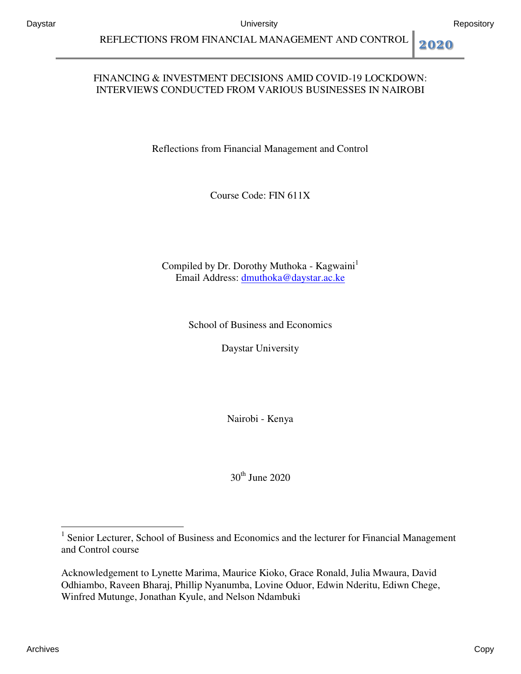REFLECTIONS FROM FINANCIAL MANAGEMENT AND CONTROL **2020**

#### FINANCING & INVESTMENT DECISIONS AMID COVID-19 LOCKDOWN: INTERVIEWS CONDUCTED FROM VARIOUS BUSINESSES IN NAIROBI

Reflections from Financial Management and Control

Course Code: FIN 611X

Compiled by Dr. Dorothy Muthoka - Kagwaini<sup>1</sup> Email Address: [dmuthoka@daystar.ac.ke](mailto:dmuthoka@daystar.ac.ke)

School of Business and Economics

Daystar University

Nairobi - Kenya

 $30<sup>th</sup>$  June 2020

<sup>&</sup>lt;sup>1</sup> Senior Lecturer, School of Business and Economics and the lecturer for Financial Management and Control course

Acknowledgement to Lynette Marima, Maurice Kioko, Grace Ronald, Julia Mwaura, David Odhiambo, Raveen Bharaj, Phillip Nyanumba, Lovine Oduor, Edwin Nderitu, Ediwn Chege, Winfred Mutunge, Jonathan Kyule, and Nelson Ndambuki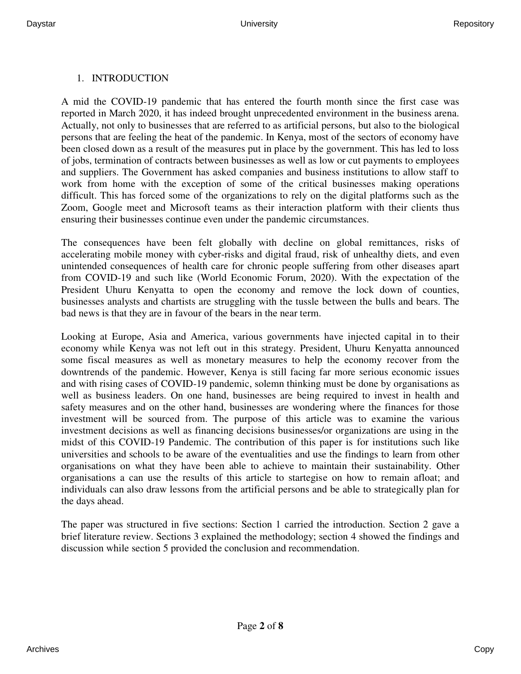#### 1. INTRODUCTION

A mid the COVID-19 pandemic that has entered the fourth month since the first case was reported in March 2020, it has indeed brought unprecedented environment in the business arena. Actually, not only to businesses that are referred to as artificial persons, but also to the biological persons that are feeling the heat of the pandemic. In Kenya, most of the sectors of economy have been closed down as a result of the measures put in place by the government. This has led to loss of jobs, termination of contracts between businesses as well as low or cut payments to employees and suppliers. The Government has asked companies and business institutions to allow staff to work from home with the exception of some of the critical businesses making operations difficult. This has forced some of the organizations to rely on the digital platforms such as the Zoom, Google meet and Microsoft teams as their interaction platform with their clients thus ensuring their businesses continue even under the pandemic circumstances.

The consequences have been felt globally with decline on global remittances, risks of accelerating mobile money with cyber-risks and digital fraud, risk of unhealthy diets, and even unintended consequences of health care for chronic people suffering from other diseases apart from COVID-19 and such like (World Economic Forum, 2020). With the expectation of the President Uhuru Kenyatta to open the economy and remove the lock down of counties, businesses analysts and chartists are struggling with the tussle between the bulls and bears. The bad news is that they are in favour of the bears in the near term.

Looking at Europe, Asia and America, various governments have injected capital in to their economy while Kenya was not left out in this strategy. President, Uhuru Kenyatta announced some fiscal measures as well as monetary measures to help the economy recover from the downtrends of the pandemic. However, Kenya is still facing far more serious economic issues and with rising cases of COVID-19 pandemic, solemn thinking must be done by organisations as well as business leaders. On one hand, businesses are being required to invest in health and safety measures and on the other hand, businesses are wondering where the finances for those investment will be sourced from. The purpose of this article was to examine the various investment decisions as well as financing decisions businesses/or organizations are using in the midst of this COVID-19 Pandemic. The contribution of this paper is for institutions such like universities and schools to be aware of the eventualities and use the findings to learn from other organisations on what they have been able to achieve to maintain their sustainability. Other organisations a can use the results of this article to startegise on how to remain afloat; and individuals can also draw lessons from the artificial persons and be able to strategically plan for the days ahead.

The paper was structured in five sections: Section 1 carried the introduction. Section 2 gave a brief literature review. Sections 3 explained the methodology; section 4 showed the findings and discussion while section 5 provided the conclusion and recommendation.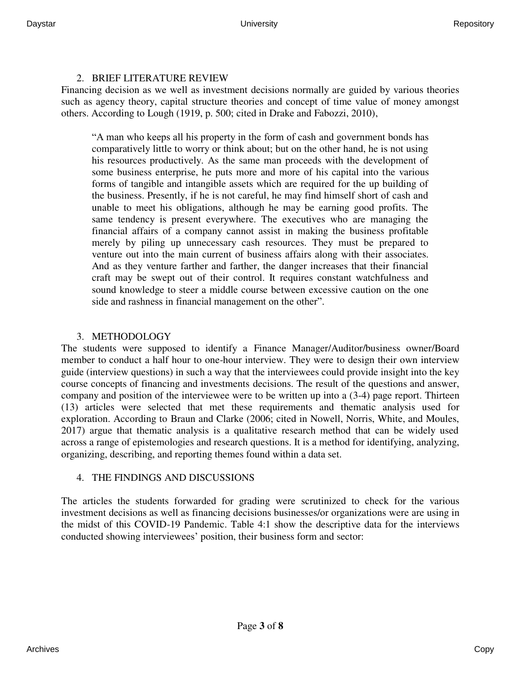# 2. BRIEF LITERATURE REVIEW

Financing decision as we well as investment decisions normally are guided by various theories such as agency theory, capital structure theories and concept of time value of money amongst others. According to Lough (1919, p. 500; cited in Drake and Fabozzi, 2010),

"A man who keeps all his property in the form of cash and government bonds has comparatively little to worry or think about; but on the other hand, he is not using his resources productively. As the same man proceeds with the development of some business enterprise, he puts more and more of his capital into the various forms of tangible and intangible assets which are required for the up building of the business. Presently, if he is not careful, he may find himself short of cash and unable to meet his obligations, although he may be earning good profits. The same tendency is present everywhere. The executives who are managing the financial affairs of a company cannot assist in making the business profitable merely by piling up unnecessary cash resources. They must be prepared to venture out into the main current of business affairs along with their associates. And as they venture farther and farther, the danger increases that their financial craft may be swept out of their control. It requires constant watchfulness and sound knowledge to steer a middle course between excessive caution on the one side and rashness in financial management on the other".

## 3. METHODOLOGY

The students were supposed to identify a Finance Manager/Auditor/business owner/Board member to conduct a half hour to one-hour interview. They were to design their own interview guide (interview questions) in such a way that the interviewees could provide insight into the key course concepts of financing and investments decisions. The result of the questions and answer, company and position of the interviewee were to be written up into a (3-4) page report. Thirteen (13) articles were selected that met these requirements and thematic analysis used for exploration. According to Braun and Clarke (2006; cited in Nowell, Norris, White, and Moules, 2017) argue that thematic analysis is a qualitative research method that can be widely used across a range of epistemologies and research questions. It is a method for identifying, analyzing, organizing, describing, and reporting themes found within a data set.

## 4. THE FINDINGS AND DISCUSSIONS

The articles the students forwarded for grading were scrutinized to check for the various investment decisions as well as financing decisions businesses/or organizations were are using in the midst of this COVID-19 Pandemic. Table 4:1 show the descriptive data for the interviews conducted showing interviewees' position, their business form and sector: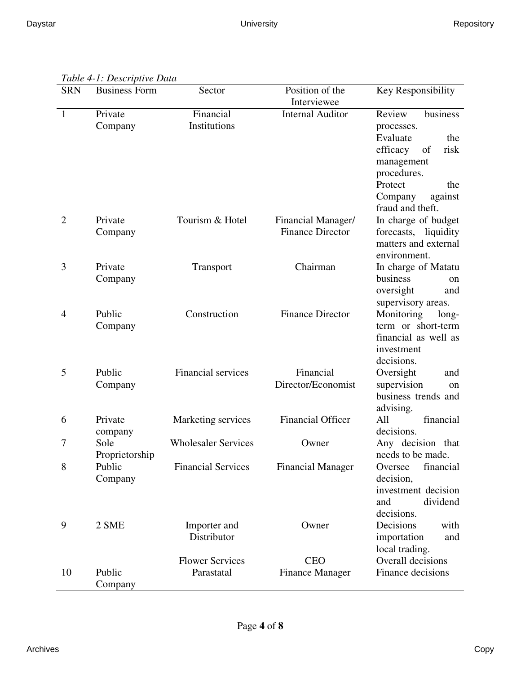|                | Tubic + 1. Descriptive Duna |                            |                          |                                          |
|----------------|-----------------------------|----------------------------|--------------------------|------------------------------------------|
| <b>SRN</b>     | <b>Business Form</b>        | Sector                     | Position of the          | Key Responsibility                       |
|                |                             |                            | Interviewee              |                                          |
| $\mathbf{1}$   | Private                     | Financial                  | <b>Internal Auditor</b>  | Review<br>business                       |
|                | Company                     | Institutions               |                          | processes.                               |
|                |                             |                            |                          | Evaluate<br>the                          |
|                |                             |                            |                          | risk<br>efficacy<br>of                   |
|                |                             |                            |                          | management                               |
|                |                             |                            |                          | procedures.                              |
|                |                             |                            |                          | Protect<br>the                           |
|                |                             |                            |                          | Company<br>against                       |
|                |                             |                            |                          | fraud and theft.                         |
| $\overline{2}$ | Private                     | Tourism & Hotel            | Financial Manager/       | In charge of budget                      |
|                | Company                     |                            | <b>Finance Director</b>  | forecasts, liquidity                     |
|                |                             |                            |                          | matters and external                     |
|                |                             |                            |                          | environment.                             |
| 3              | Private                     | Transport                  | Chairman                 | In charge of Matatu                      |
|                | Company                     |                            |                          | business<br><sub>on</sub>                |
|                |                             |                            |                          | oversight<br>and                         |
|                |                             |                            |                          | supervisory areas.                       |
| 4              | Public                      | Construction               | <b>Finance Director</b>  | Monitoring<br>long-                      |
|                | Company                     |                            |                          | term or short-term                       |
|                |                             |                            |                          | financial as well as                     |
|                |                             |                            |                          | investment                               |
|                |                             |                            |                          | decisions.                               |
| 5              | Public                      | Financial services         | Financial                | Oversight<br>and                         |
|                |                             |                            | Director/Economist       |                                          |
|                | Company                     |                            |                          | supervision<br>on<br>business trends and |
|                |                             |                            |                          |                                          |
|                |                             |                            |                          | advising.                                |
| 6              | Private                     | Marketing services         | <b>Financial Officer</b> | financial<br>All                         |
|                | company                     |                            |                          | decisions.                               |
| 7              | Sole                        | <b>Wholesaler Services</b> | Owner                    | Any decision that                        |
|                | Proprietorship              |                            |                          | needs to be made.                        |
| 8              | Public                      | <b>Financial Services</b>  | <b>Financial Manager</b> | financial<br>Oversee                     |
|                | Company                     |                            |                          | decision,                                |
|                |                             |                            |                          | investment decision                      |
|                |                             |                            |                          | and<br>dividend                          |
|                |                             |                            |                          | decisions.                               |
| 9              | 2 SME                       | Importer and               | Owner                    | Decisions<br>with                        |
|                |                             | Distributor                |                          | importation<br>and                       |
|                |                             |                            |                          | local trading.                           |
|                |                             | <b>Flower Services</b>     | <b>CEO</b>               | Overall decisions                        |
| 10             | Public                      | Parastatal                 | <b>Finance Manager</b>   | Finance decisions                        |
|                | Company                     |                            |                          |                                          |

*Table 4-1: Descriptive Data*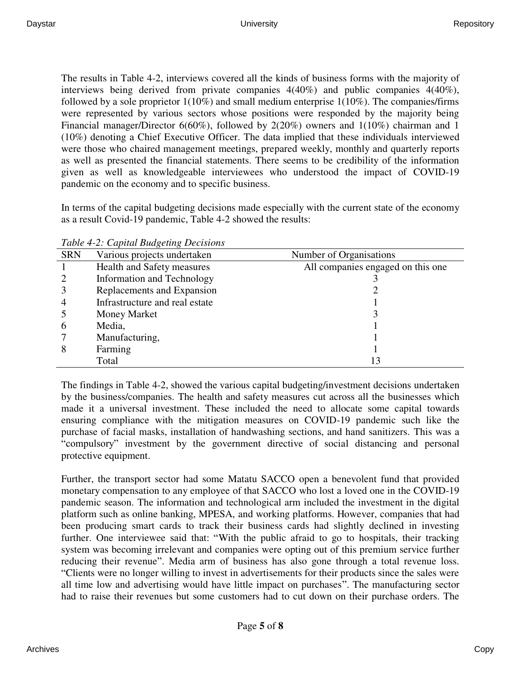The results in Table 4-2, interviews covered all the kinds of business forms with the majority of interviews being derived from private companies 4(40%) and public companies 4(40%), followed by a sole proprietor 1(10%) and small medium enterprise 1(10%). The companies/firms were represented by various sectors whose positions were responded by the majority being Financial manager/Director 6(60%), followed by 2(20%) owners and 1(10%) chairman and 1 (10%) denoting a Chief Executive Officer. The data implied that these individuals interviewed were those who chaired management meetings, prepared weekly, monthly and quarterly reports as well as presented the financial statements. There seems to be credibility of the information given as well as knowledgeable interviewees who understood the impact of COVID-19 pandemic on the economy and to specific business.

In terms of the capital budgeting decisions made especially with the current state of the economy as a result Covid-19 pandemic, Table 4-2 showed the results:

| <b>SRN</b>    | Various projects undertaken    | Number of Organisations           |
|---------------|--------------------------------|-----------------------------------|
|               | Health and Safety measures     | All companies engaged on this one |
|               | Information and Technology     |                                   |
|               | Replacements and Expansion     |                                   |
| 4             | Infrastructure and real estate |                                   |
|               | <b>Money Market</b>            |                                   |
| $\mathfrak b$ | Media,                         |                                   |
|               | Manufacturing,                 |                                   |
| 8             | Farming                        |                                   |
|               | Total                          | 13                                |

*Table 4-2: Capital Budgeting Decisions* 

The findings in Table 4-2, showed the various capital budgeting/investment decisions undertaken by the business/companies. The health and safety measures cut across all the businesses which made it a universal investment. These included the need to allocate some capital towards ensuring compliance with the mitigation measures on COVID-19 pandemic such like the purchase of facial masks, installation of handwashing sections, and hand sanitizers. This was a "compulsory" investment by the government directive of social distancing and personal protective equipment.

Further, the transport sector had some Matatu SACCO open a benevolent fund that provided monetary compensation to any employee of that SACCO who lost a loved one in the COVID-19 pandemic season. The information and technological arm included the investment in the digital platform such as online banking, MPESA, and working platforms. However, companies that had been producing smart cards to track their business cards had slightly declined in investing further. One interviewee said that: "With the public afraid to go to hospitals, their tracking system was becoming irrelevant and companies were opting out of this premium service further reducing their revenue". Media arm of business has also gone through a total revenue loss. "Clients were no longer willing to invest in advertisements for their products since the sales were all time low and advertising would have little impact on purchases". The manufacturing sector had to raise their revenues but some customers had to cut down on their purchase orders. The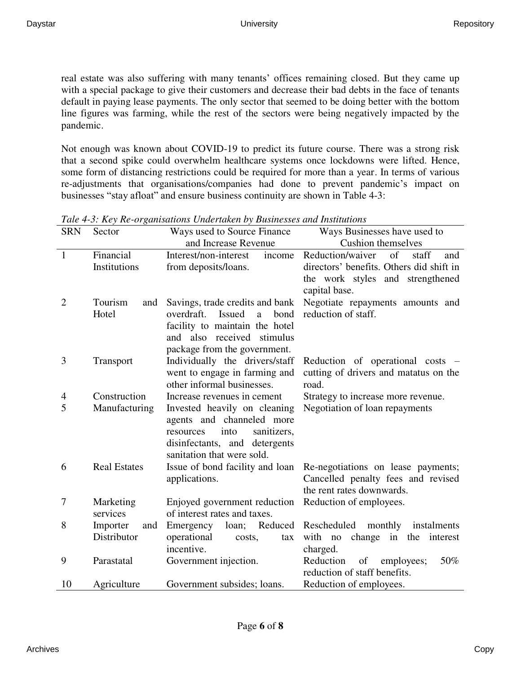real estate was also suffering with many tenants' offices remaining closed. But they came up with a special package to give their customers and decrease their bad debts in the face of tenants default in paying lease payments. The only sector that seemed to be doing better with the bottom line figures was farming, while the rest of the sectors were being negatively impacted by the pandemic.

Not enough was known about COVID-19 to predict its future course. There was a strong risk that a second spike could overwhelm healthcare systems once lockdowns were lifted. Hence, some form of distancing restrictions could be required for more than a year. In terms of various re-adjustments that organisations/companies had done to prevent pandemic's impact on businesses "stay afloat" and ensure business continuity are shown in Table 4-3:

| <b>SRN</b>     | Sector              | Ways used to Source Finance                         | Ways Businesses have used to             |
|----------------|---------------------|-----------------------------------------------------|------------------------------------------|
|                |                     | and Increase Revenue                                | <b>Cushion themselves</b>                |
| $\mathbf{1}$   | Financial           | Interest/non-interest<br>income                     | of<br>Reduction/waiver<br>staff<br>and   |
|                | Institutions        | from deposits/loans.                                | directors' benefits. Others did shift in |
|                |                     |                                                     | the work styles and strengthened         |
|                |                     |                                                     | capital base.                            |
| $\overline{2}$ | Tourism<br>and      | Savings, trade credits and bank                     | Negotiate repayments amounts and         |
|                | Hotel               | overdraft.<br><b>Issued</b><br>bond<br><sub>a</sub> | reduction of staff.                      |
|                |                     | facility to maintain the hotel                      |                                          |
|                |                     | and also received stimulus                          |                                          |
|                |                     | package from the government.                        |                                          |
| 3              | Transport           | Individually the drivers/staff                      | Reduction of operational costs -         |
|                |                     | went to engage in farming and                       | cutting of drivers and matatus on the    |
|                |                     | other informal businesses.                          | road.                                    |
| $\overline{4}$ | Construction        | Increase revenues in cement                         | Strategy to increase more revenue.       |
| 5              | Manufacturing       | Invested heavily on cleaning                        | Negotiation of loan repayments           |
|                |                     | agents and channeled more                           |                                          |
|                |                     | into<br>sanitizers,<br>resources                    |                                          |
|                |                     | disinfectants, and detergents                       |                                          |
|                |                     | sanitation that were sold.                          |                                          |
| 6              | <b>Real Estates</b> | Issue of bond facility and loan                     | Re-negotiations on lease payments;       |
|                |                     | applications.                                       | Cancelled penalty fees and revised       |
|                |                     |                                                     | the rent rates downwards.                |
| 7              | Marketing           | Enjoyed government reduction                        | Reduction of employees.                  |
|                | services            | of interest rates and taxes.                        |                                          |
| 8              | Importer<br>and     | Reduced<br>Emergency loan;                          | Rescheduled<br>monthly instalments       |
|                | Distributor         | operational<br>costs,<br>tax                        | change in the interest<br>with no        |
|                |                     | incentive.                                          | charged.                                 |
| 9              | Parastatal          | Government injection.                               | 50%<br>Reduction<br>of<br>employees;     |
|                |                     |                                                     | reduction of staff benefits.             |
| 10             | Agriculture         | Government subsides; loans.                         | Reduction of employees.                  |

*Tale 4-3: Key Re-organisations Undertaken by Businesses and Institutions*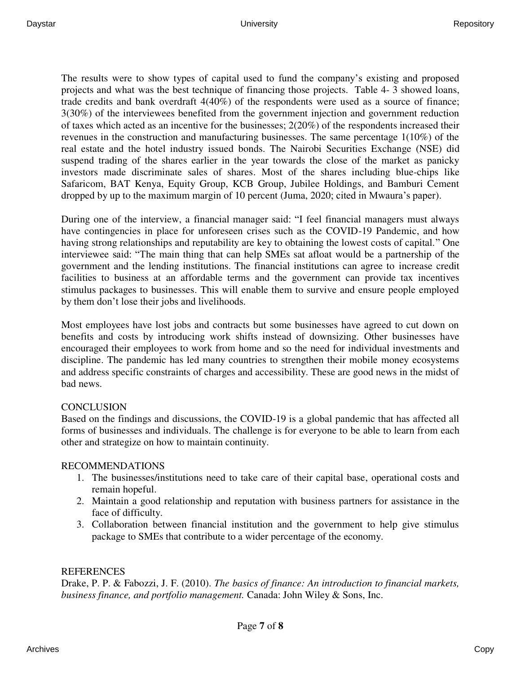The results were to show types of capital used to fund the company's existing and proposed projects and what was the best technique of financing those projects. Table 4- 3 showed loans, trade credits and bank overdraft 4(40%) of the respondents were used as a source of finance; 3(30%) of the interviewees benefited from the government injection and government reduction of taxes which acted as an incentive for the businesses; 2(20%) of the respondents increased their revenues in the construction and manufacturing businesses. The same percentage 1(10%) of the real estate and the hotel industry issued bonds. The Nairobi Securities Exchange (NSE) did suspend trading of the shares earlier in the year towards the close of the market as panicky investors made discriminate sales of shares. Most of the shares including blue-chips like Safaricom, BAT Kenya, Equity Group, KCB Group, Jubilee Holdings, and Bamburi Cement dropped by up to the maximum margin of 10 percent (Juma, 2020; cited in Mwaura's paper).

During one of the interview, a financial manager said: "I feel financial managers must always have contingencies in place for unforeseen crises such as the COVID-19 Pandemic, and how having strong relationships and reputability are key to obtaining the lowest costs of capital." One interviewee said: "The main thing that can help SMEs sat afloat would be a partnership of the government and the lending institutions. The financial institutions can agree to increase credit facilities to business at an affordable terms and the government can provide tax incentives stimulus packages to businesses. This will enable them to survive and ensure people employed by them don't lose their jobs and livelihoods.

Most employees have lost jobs and contracts but some businesses have agreed to cut down on benefits and costs by introducing work shifts instead of downsizing. Other businesses have encouraged their employees to work from home and so the need for individual investments and discipline. The pandemic has led many countries to strengthen their mobile money ecosystems and address specific constraints of charges and accessibility. These are good news in the midst of bad news.

## **CONCLUSION**

Based on the findings and discussions, the COVID-19 is a global pandemic that has affected all forms of businesses and individuals. The challenge is for everyone to be able to learn from each other and strategize on how to maintain continuity.

## RECOMMENDATIONS

- 1. The businesses/institutions need to take care of their capital base, operational costs and remain hopeful.
- 2. Maintain a good relationship and reputation with business partners for assistance in the face of difficulty.
- 3. Collaboration between financial institution and the government to help give stimulus package to SMEs that contribute to a wider percentage of the economy.

## REFERENCES

Drake, P. P. & Fabozzi, J. F. (2010). *The basics of finance: An introduction to financial markets, business finance, and portfolio management.* Canada: John Wiley & Sons, Inc.